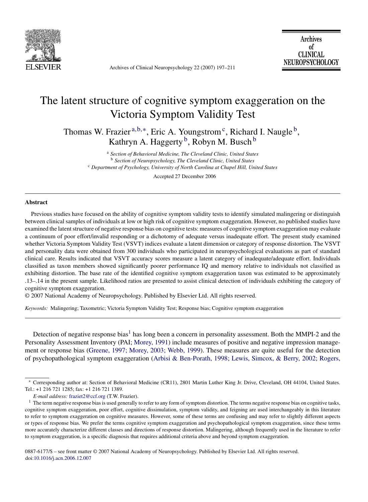

Archives of Clinical Neuropsychology 22 (2007) 197–211

# The latent structure of cognitive symptom exaggeration on the Victoria Symptom Validity Test

Thomas W. Frazier<sup>a,b,\*</sup>, Eric A. Youngstrom<sup>c</sup>, Richard I. Naugle<sup>b</sup>, Kathryn A. Haggerty<sup>b</sup>, Robyn M. Busch<sup>b</sup>

> <sup>a</sup> *Section of Behavioral Medicine, The Cleveland Clinic, United States* <sup>b</sup> *Section of Neuropsychology, The Cleveland Clinic, United States* <sup>c</sup> *Department of Psychology, University of North Carolina at Chapel Hill, United States*

> > Accepted 27 December 2006

#### **Abstract**

Previous studies have focused on the ability of cognitive symptom validity tests to identify simulated malingering or distinguish between clinical samples of individuals at low or high risk of cognitive symptom exaggeration. However, no published studies have examined the latent structure of negative response bias on cognitive tests: measures of cognitive symptom exaggeration may evaluate a continuum of poor effort/invalid responding or a dichotomy of adequate versus inadequate effort. The present study examined whether Victoria Symptom Validity Test (VSVT) indices evaluate a latent dimension or category of response distortion. The VSVT and personality data were obtained from 300 individuals who participated in neuropsychological evaluations as part of standard clinical care. Results indicated that VSVT accuracy scores measure a latent category of inadequate/adequate effort. Individuals classified as taxon members showed significantly poorer performance IQ and memory relative to individuals not classified as exhibiting distortion. The base rate of the identified cognitive symptom exaggeration taxon was estimated to be approximately .13–.14 in the present sample. Likelihood ratios are presented to assist clinical detection of individuals exhibiting the category of cognitive symptom exaggeration.

© 2007 National Academy of Neuropsychology. Published by Elsevier Ltd. All rights reserved.

*Keywords:* Malingering; Taxometric; Victoria Symptom Validity Test; Response bias; Cognitive symptom exaggeration

Detection of negative response bias<sup>1</sup> has long been a concern in personality assessment. Both the MMPI-2 and the Personality Assessment Inventory (PAI; [Morey, 1991\)](#page-13-0) include measures of positive and negative impression management or response bias [\(Greene, 1997; Morey, 2003; Webb, 1999\).](#page-12-0) These measures are quite useful for the detection of psychopathological symptom exaggeration ([Arbisi & Ben-Porath, 1998;](#page-12-0) [Lewis, Simcox, & Berry, 2002;](#page-13-0) [Rogers,](#page-13-0)

<sup>∗</sup> Corresponding author at: Section of Behavioral Medicine (CR11), 2801 Martin Luther King Jr. Drive, Cleveland, OH 44104, United States. Tel.: +1 216 721 1285; fax: +1 216 721 1389.

*E-mail address:* [fraziet2@ccf.org](mailto:fraziet2@ccf.org) (T.W. Frazier).

<sup>&</sup>lt;sup>1</sup> The term negative response bias is used generally to refer to any form of symptom distortion. The terms negative response bias on cognitive tasks, cognitive symptom exaggeration, poor effort, cognitive dissimulation, symptom validity, and feigning are used interchangeably in this literature to refer to symptom exaggeration on cognitive measures. However, some of these terms are confusing and may refer to slightly different aspects or types of response bias. We prefer the terms cognitive symptom exaggeration and psychopathological symptom exaggeration, since these terms more accurately characterize different classes and directions of response distortion. Malingering, although frequently used in the literature to refer to symptom exaggeration, is a specific diagnosis that requires additional criteria above and beyond symptom exaggeration.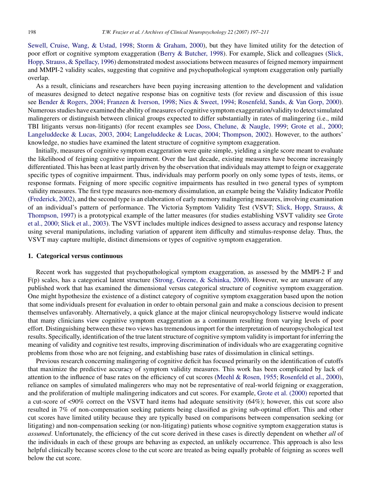[Sewell, Cruise, Wang, & Ustad, 1998;](#page-13-0) [Storm & Graham, 2000\),](#page-13-0) but they have limited utility for the detection of poor effort or cognitive symptom exaggeration ([Berry & Butcher, 1998\).](#page-12-0) For example, Slick and colleagues ([Slick,](#page-13-0) [Hopp, Strauss, & Spellacy, 1996\) d](#page-13-0)emonstrated modest associations between measures of feigned memory impairment and MMPI-2 validity scales, suggesting that cognitive and psychopathological symptom exaggeration only partially overlap.

As a result, clinicians and researchers have been paying increasing attention to the development and validation of measures designed to detect negative response bias on cognitive tests (for review and discussion of this issue see [Bender & Rogers, 2004;](#page-12-0) [Franzen & Iverson, 1998;](#page-12-0) [Nies & Sweet, 1994;](#page-13-0) [Rosenfeld, Sands, & Van Gorp, 2000\).](#page-13-0) Numerous studies have examined the ability of measures of cognitive symptom exaggeration/validity to detect simulated malingerers or distinguish between clinical groups expected to differ substantially in rates of malingering (i.e., mild TBI litigants versus non-litigants) (for recent examples see [Doss, Chelune, & Naugle, 1999;](#page-12-0) [Grote et al., 2000;](#page-12-0) [Langeluddecke & Lucas, 2003, 2004;](#page-13-0) [Langeluddecke & Lucas, 2004;](#page-13-0) [Thompson, 2002\).](#page-13-0) However, to the authors' knowledge, no studies have examined the latent structure of cognitive symptom exaggeration.

Initially, measures of cognitive symptom exaggeration were quite simple, yielding a single score meant to evaluate the likelihood of feigning cognitive impairment. Over the last decade, existing measures have become increasingly differentiated. This has been at least partly driven by the observation that individuals may attempt to feign or exaggerate specific types of cognitive impairment. Thus, individuals may perform poorly on only some types of tests, items, or response formats. Feigning of more specific cognitive impairments has resulted in two general types of symptom validity measures. The first type measures non-memory dissimulation, an example being the Validity Indicator Profile ([Frederick, 2002\),](#page-12-0) and the second type is an elaboration of early memory malingering measures, involving examination of an individual's pattern of performance. The Victoria Symptom Validity Test (VSVT; [Slick, Hopp, Strauss, &](#page-13-0) [Thompson, 1997\)](#page-13-0) is a prototypical example of the latter measures (for studies establishing VSVT validity see [Grote](#page-12-0) [et al., 2000; Slick et al., 2003\).](#page-12-0) The VSVT includes multiple indices designed to assess accuracy and response latency using several manipulations, including variation of apparent item difficulty and stimulus-response delay. Thus, the VSVT may capture multiple, distinct dimensions or types of cognitive symptom exaggeration.

## **1. Categorical versus continuous**

Recent work has suggested that psychopathological symptom exaggeration, as assessed by the MMPI-2 F and F(p) scales, has a categorical latent structure ([Strong, Greene, & Schinka, 2000\).](#page-13-0) However, we are unaware of any published work that has examined the dimensional versus categorical structure of cognitive symptom exaggeration. One might hypothesize the existence of a distinct category of cognitive symptom exaggeration based upon the notion that some individuals present for evaluation in order to obtain personal gain and make a conscious decision to present themselves unfavorably. Alternatively, a quick glance at the major clinical neuropsychology listserve would indicate that many clinicians view cognitive symptom exaggeration as a continuum resulting from varying levels of poor effort. Distinguishing between these two views has tremendous import for the interpretation of neuropsychological test results. Specifically, identification of the true latent structure of cognitive symptom validity is important for inferring the meaning of validity and cognitive test results, improving discrimination of individuals who are exaggerating cognitive problems from those who are not feigning, and establishing base rates of dissimulation in clinical settings.

Previous research concerning malingering of cognitive deficit has focused primarily on the identification of cutoffs that maximize the predictive accuracy of symptom validity measures. This work has been complicated by lack of attention to the influence of base rates on the efficiency of cut scores ([Meehl & Rosen, 1955;](#page-13-0) [Rosenfeld et al., 2000\),](#page-13-0) reliance on samples of simulated malingerers who may not be representative of real-world feigning or exaggeration, and the proliferation of multiple malingering indicators and cut scores. For example, [Grote et al. \(2000\)](#page-12-0) reported that a cut-score of <90% correct on the VSVT hard items had adequate sensitivity (64%); however, this cut score also resulted in 7% of non-compensation seeking patients being classified as giving sub-optimal effort. This and other cut scores have limited utility because they are typically based on comparisons between compensation seeking (or litigating) and non-compensation seeking (or non-litigating) patients whose cognitive symptom exaggeration status is *assumed*. Unfortunately, the efficiency of the cut score derived in these cases is directly dependent on whether *all* of the individuals in each of these groups are behaving as expected, an unlikely occurrence. This approach is also less helpful clinically because scores close to the cut score are treated as being equally probable of feigning as scores well below the cut score.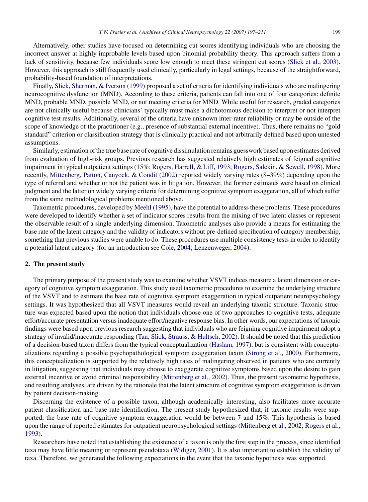Alternatively, other studies have focused on determining cut scores identifying individuals who are choosing the incorrect answer at highly improbable levels based upon binomial probability theory. This approach suffers from a lack of sensitivity, because few individuals score low enough to meet these stringent cut scores [\(Slick et al., 2003\).](#page-13-0) However, this approach is still frequently used clinically, particularly in legal settings, because of the straightforward, probability-based foundation of interpretations.

Finally, [Slick, Sherman, & Iverson \(1999\)](#page-13-0) proposed a set of criteria for identifying individuals who are malingering neurocognitive dysfunction (MND). According to these criteria, patients can fall into one of four categories: definite MND, probable MND, possible MND, or not meeting criteria for MND. While useful for research, graded categories are not clinically useful because clinicians' typically must make a dichotomous decision to interpret or not interpret cognitive test results. Additionally, several of the criteria have unknown inter-rater reliability or may be outside of the scope of knowledge of the practitioner (e.g., presence of substantial external incentive). Thus, there remains no "gold standard" criterion or classification strategy that is clinically practical and not arbitrarily defined based upon untested assumptions.

Similarly, estimation of the true base rate of cognitive dissimulation remains guesswork based upon estimates derived from evaluation of high-risk groups. Previous research has suggested relatively high estimates of feigned cognitive impairment in typical outpatient settings (15%; [Rogers, Harrell, & Liff, 1993;](#page-13-0) [Rogers, Salekin, & Sewell, 1998\).](#page-13-0) More recently, [Mittenberg, Patton, Canyock, & Condit \(2002\)](#page-13-0) reported widely varying rates (8–39%) depending upon the type of referral and whether or not the patient was in litigation. However, the former estimates were based on clinical judgment and the latter on widely varying criteria for determining cognitive symptom exaggeration, all of which suffer from the same methodological problems mentioned above.

Taxometric procedures, developed by [Meehl \(1995\), h](#page-13-0)ave the potential to address these problems. These procedures were developed to identify whether a set of indicator scores results from the mixing of two latent classes or represent the observable result of a single underlying dimension. Taxometric analyses also provide a means for estimating the base rate of the latent category and the validity of indicators without pre-defined specification of category membership, something that previous studies were unable to do. These procedures use multiple consistency tests in order to identify a potential latent category (for an introduction see [Cole, 2004; Lenzenweger, 2004\).](#page-12-0)

## **2. The present study**

The primary purpose of the present study was to examine whether VSVT indices measure a latent dimension or category of cognitive symptom exaggeration. This study used taxometric procedures to examine the underlying structure of the VSVT and to estimate the base rate of cognitive symptom exaggeration in typical outpatient neuropsychology settings. It was hypothesized that all VSVT measures would reveal an underlying taxonic structure. Taxonic structure was expected based upon the notion that individuals choose one of two approaches to cognitive tests, adequate effort/accurate presentation versus inadequate effort/negative response bias. In other words, our expectations of taxonic findings were based upon previous research suggesting that individuals who are feigning cognitive impairment adopt a strategy of invalid/inaccurate responding ([Tan, Slick, Strauss, & Hultsch, 2002\).](#page-13-0) It should be noted that this prediction of a decision-based taxon differs from the typical conceptualization ([Haslam, 1997\),](#page-12-0) but is consistent with conceptualizations regarding a possible psychopathological symptom exaggeration taxon ([Strong et al., 2000\).](#page-13-0) Furthermore, this conceptualization is supported by the relatively high rates of malingering observed in patients who are currently in litigation, suggesting that individuals may choose to exaggerate cognitive symptoms based upon the desire to gain external incentive or avoid criminal responsibility ([Mittenberg et al., 2002\).](#page-13-0) Thus, the present taxometric hypothesis, and resulting analyses, are driven by the rationale that the latent structure of cognitive symptom exaggeration is driven by patient decision-making.

Discerning the existence of a possible taxon, although academically interesting, also facilitates more accurate patient classification and base rate identification. The present study hypothesized that, if taxonic results were supported, the base rate of cognitive symptom exaggeration would be between 7 and 15%. This hypothesis is based upon the range of reported estimates for outpatient neuropsychological settings ([Mittenberg et al., 2002; Rogers et al.,](#page-13-0) [1993\).](#page-13-0)

Researchers have noted that establishing the existence of a taxon is only the first step in the process, since identified taxa may have little meaning or represent pseudotaxa ([Widiger, 2001\).](#page-14-0) It is also important to establish the validity of taxa. Therefore, we generated the following expectations in the event that the taxonic hypothesis was supported.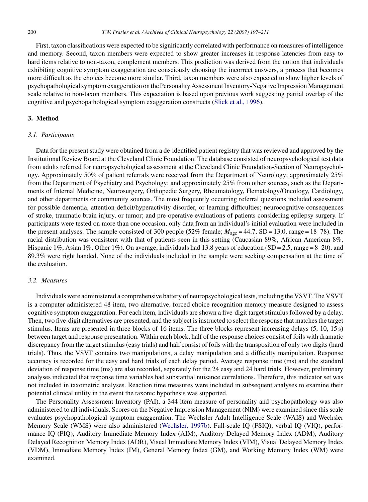First, taxon classifications were expected to be significantly correlated with performance on measures of intelligence and memory. Second, taxon members were expected to show greater increases in response latencies from easy to hard items relative to non-taxon, complement members. This prediction was derived from the notion that individuals exhibiting cognitive symptom exaggeration are consciously choosing the incorrect answers, a process that becomes more difficult as the choices become more similar. Third, taxon members were also expected to show higher levels of psychopathological symptom exaggeration on the Personality Assessment Inventory-Negative Impression Management scale relative to non-taxon members. This expectation is based upon previous work suggesting partial overlap of the cognitive and psychopathological symptom exaggeration constructs ([Slick et al., 1996\).](#page-13-0)

# **3. Method**

### *3.1. Participants*

Data for the present study were obtained from a de-identified patient registry that was reviewed and approved by the Institutional Review Board at the Cleveland Clinic Foundation. The database consisted of neuropsychological test data from adults referred for neuropsychological assessment at the Cleveland Clinic Foundation-Section of Neuropsychology. Approximately 50% of patient referrals were received from the Department of Neurology; approximately 25% from the Department of Psychiatry and Psychology; and approximately 25% from other sources, such as the Departments of Internal Medicine, Neurosurgery, Orthopedic Surgery, Rheumatology, Hematology/Oncology, Cardiology, and other departments or community sources. The most frequently occurring referral questions included assessment for possible dementia, attention-deficit/hyperactivity disorder, or learning difficulties; neurocognitive consequences of stroke, traumatic brain injury, or tumor; and pre-operative evaluations of patients considering epilepsy surgery. If participants were tested on more than one occasion, only data from an individual's initial evaluation were included in the present analyses. The sample consisted of 300 people (52% female;  $M_{\text{age}} = 44.7$ , SD = 13.0, range = 18–78). The racial distribution was consistent with that of patients seen in this setting (Caucasian 89%, African American 8%, Hispanic 1%, Asian 1%, Other 1%). On average, individuals had 13.8 years of education  $(SD = 2.5$ , range = 8–20), and 89.3% were right handed. None of the individuals included in the sample were seeking compensation at the time of the evaluation.

# *3.2. Measures*

Individuals were administered a comprehensive battery of neuropsychological tests, including the VSVT. The VSVT is a computer administered 48-item, two-alternative, forced choice recognition memory measure designed to assess cognitive symptom exaggeration. For each item, individuals are shown a five-digit target stimulus followed by a delay. Then, two five-digit alternatives are presented, and the subject is instructed to select the response that matches the target stimulus. Items are presented in three blocks of 16 items. The three blocks represent increasing delays (5, 10, 15 s) between target and response presentation. Within each block, half of the response choices consist of foils with dramatic discrepancy from the target stimulus (easy trials) and half consist of foils with the transposition of only two digits (hard trials). Thus, the VSVT contains two manipulations, a delay manipulation and a difficulty manipulation. Response accuracy is recorded for the easy and hard trials of each delay period. Average response time (ms) and the standard deviation of response time (ms) are also recorded, separately for the 24 easy and 24 hard trials. However, preliminary analyses indicated that response time variables had substantial nuisance correlations. Therefore, this indicator set was not included in taxometric analyses. Reaction time measures were included in subsequent analyses to examine their potential clinical utility in the event the taxonic hypothesis was supported.

The Personality Assessment Inventory (PAI), a 344-item measure of personality and psychopathology was also administered to all individuals. Scores on the Negative Impression Management (NIM) were examined since this scale evaluates psychopathological symptom exaggeration. The Wechsler Adult Intelligence Scale (WAIS) and Wechsler Memory Scale (WMS) were also administered [\(Wechsler, 1997b\).](#page-14-0) Full-scale IQ (FSIQ), verbal IQ (VIQ), performance IQ (PIQ), Auditory Immediate Memory Index (AIM), Auditory Delayed Memory Index (ADM), Auditory Delayed Recognition Memory Index (ADR), Visual Immediate Memory Index (VIM), Visual Delayed Memory Index (VDM), Immediate Memory Index (IM), General Memory Index (GM), and Working Memory Index (WM) were examined.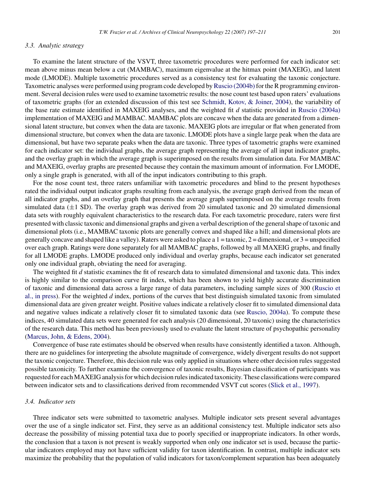#### *3.3. Analytic strategy*

To examine the latent structure of the VSVT, three taxometric procedures were performed for each indicator set: mean above minus mean below a cut (MAMBAC), maximum eigenvalue at the hitmax point (MAXEIG), and latent mode (LMODE). Multiple taxometric procedures served as a consistency test for evaluating the taxonic conjecture. Taxometric analyses were performed using program code developed by Ruscio (2004b) for the R programming environment. Several decision rules were used to examine taxometric results: the nose count test based upon raters' evaluations of taxometric graphs (for an extended discussion of this test see [Schmidt, Kotov, & Joiner, 2004\),](#page-13-0) the variability of the base rate estimate identified in MAXEIG analyses, and the weighted fit *d* statistic provided in [Ruscio \(2004a\)](#page-13-0) implementation of MAXEIG and MAMBAC. MAMBAC plots are concave when the data are generated from a dimensional latent structure, but convex when the data are taxonic. MAXEIG plots are irregular or flat when generated from dimensional structure, but convex when the data are taxonic. LMODE plots have a single large peak when the data are dimensional, but have two separate peaks when the data are taxonic. Three types of taxometric graphs were examined for each indicator set: the individual graphs, the average graph representing the average of all input indicator graphs, and the overlay graph in which the average graph is superimposed on the results from simulation data. For MAMBAC and MAXEIG, overlay graphs are presented because they contain the maximum amount of information. For LMODE, only a single graph is generated, with all of the input indicators contributing to this graph.

For the nose count test, three raters unfamiliar with taxometric procedures and blind to the present hypotheses rated the individual output indicator graphs resulting from each analysis, the average graph derived from the mean of all indicator graphs, and an overlay graph that presents the average graph superimposed on the average results from simulated data  $(\pm 1$  SD). The overlay graph was derived from 20 simulated taxonic and 20 simulated dimensional data sets with roughly equivalent characteristics to the research data. For each taxometric procedure, raters were first presented with classic taxonic and dimensional graphs and given a verbal description of the general shape of taxonic and dimensional plots (i.e., MAMBAC taxonic plots are generally convex and shaped like a hill; and dimensional plots are generally concave and shaped like a valley). Raters were asked to place a  $1 =$  taxonic,  $2 =$  dimensional, or  $3 =$  unspecified over each graph. Ratings were done separately for all MAMBAC graphs, followed by all MAXEIG graphs, and finally for all LMODE graphs. LMODE produced only individual and overlay graphs, because each indicator set generated only one individual graph, obviating the need for averaging.

The weighted fit *d* statistic examines the fit of research data to simulated dimensional and taxonic data. This index is highly similar to the comparison curve fit index, which has been shown to yield highly accurate discrimination of taxonic and dimensional data across a large range of data parameters, including sample sizes of 300 [\(Ruscio et](#page-13-0) [al., in press\).](#page-13-0) For the weighted *d* index, portions of the curves that best distinguish simulated taxonic from simulated dimensional data are given greater weight. Positive values indicate a relatively closer fit to simulated dimensional data and negative values indicate a relatively closer fit to simulated taxonic data (see [Ruscio, 2004a\).](#page-13-0) To compute these indices, 40 simulated data sets were generated for each analysis (20 dimensional, 20 taxonic) using the characteristics of the research data. This method has been previously used to evaluate the latent structure of psychopathic personality [\(Marcus, John, & Edens, 2004\).](#page-13-0)

Convergence of base rate estimates should be observed when results have consistently identified a taxon. Although, there are no guidelines for interpreting the absolute magnitude of convergence, widely divergent results do not support the taxonic conjecture. Therefore, this decision rule was only applied in situations where other decision rules suggested possible taxonicity. To further examine the convergence of taxonic results, Bayesian classification of participants was requested for each MAXEIG analysis for which decision rules indicated taxonicity. These classifications were compared between indicator sets and to classifications derived from recommended VSVT cut scores [\(Slick et al., 1997\).](#page-13-0)

### *3.4. Indicator sets*

Three indicator sets were submitted to taxometric analyses. Multiple indicator sets present several advantages over the use of a single indicator set. First, they serve as an additional consistency test. Multiple indicator sets also decrease the possibility of missing potential taxa due to poorly specified or inappropriate indicators. In other words, the conclusion that a taxon is not present is weakly supported when only one indicator set is used, because the particular indicators employed may not have sufficient validity for taxon identification. In contrast, multiple indicator sets maximize the probability that the population of valid indicators for taxon/complement separation has been adequately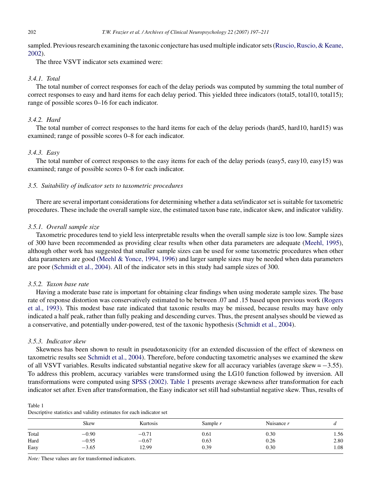<span id="page-5-0"></span>sampled. Previous research examining the taxonic conjecture has used multiple indicator sets [\(Ruscio, Ruscio, & Keane,](#page-13-0) [2002\).](#page-13-0)

The three VSVT indicator sets examined were:

# *3.4.1. Total*

The total number of correct responses for each of the delay periods was computed by summing the total number of correct responses to easy and hard items for each delay period. This yielded three indicators (total5, total10, total15); range of possible scores 0–16 for each indicator.

# *3.4.2. Hard*

The total number of correct responses to the hard items for each of the delay periods (hard5, hard10, hard15) was examined; range of possible scores 0–8 for each indicator.

# *3.4.3. Easy*

The total number of correct responses to the easy items for each of the delay periods (easy5, easy10, easy15) was examined; range of possible scores 0–8 for each indicator.

# *3.5. Suitability of indicator sets to taxometric procedures*

There are several important considerations for determining whether a data set/indicator set is suitable for taxometric procedures. These include the overall sample size, the estimated taxon base rate, indicator skew, and indicator validity.

# *3.5.1. Overall sample size*

Taxometric procedures tend to yield less interpretable results when the overall sample size is too low. Sample sizes of 300 have been recommended as providing clear results when other data parameters are adequate ([Meehl, 1995\),](#page-13-0) although other work has suggested that smaller sample sizes can be used for some taxometric procedures when other data parameters are good [\(Meehl & Yonce, 1994, 1996\)](#page-13-0) and larger sample sizes may be needed when data parameters are poor ([Schmidt et al., 2004\).](#page-13-0) All of the indicator sets in this study had sample sizes of 300.

## *3.5.2. Taxon base rate*

Having a moderate base rate is important for obtaining clear findings when using moderate sample sizes. The base rate of response distortion was conservatively estimated to be between .07 and .15 based upon previous work [\(Rogers](#page-13-0) [et al., 1993\).](#page-13-0) This modest base rate indicated that taxonic results may be missed, because results may have only indicated a half peak, rather than fully peaking and descending curves. Thus, the present analyses should be viewed as a conservative, and potentially under-powered, test of the taxonic hypothesis ([Schmidt et al., 2004\).](#page-13-0)

## *3.5.3. Indicator skew*

Skewness has been shown to result in pseudotaxonicity (for an extended discussion of the effect of skewness on taxometric results see [Schmidt et al., 2004\).](#page-13-0) Therefore, before conducting taxometric analyses we examined the skew of all VSVT variables. Results indicated substantial negative skew for all accuracy variables (average skew = −3.55). To address this problem, accuracy variables were transformed using the LG10 function followed by inversion. All transformations were computed using [SPSS \(2002\).](#page-13-0) Table 1 presents average skewness after transformation for each indicator set after. Even after transformation, the Easy indicator set still had substantial negative skew. Thus, results of

Table 1 Descriptive statistics and validity estimates for each indicator set

|       | Skew    | Kurtosis | Sample $r$ | Nuisance $r$ |      |  |  |
|-------|---------|----------|------------|--------------|------|--|--|
| Total | $-0.90$ | $-0.71$  | 0.61       | 0.30         | . 56 |  |  |
| Hard  | $-0.95$ | $-0.67$  | 0.63       | 0.26         | 2.80 |  |  |
| Easy  | $-3.65$ | 12.99    | 0.39       | 0.30         | 1.08 |  |  |

*Note:* These values are for transformed indicators.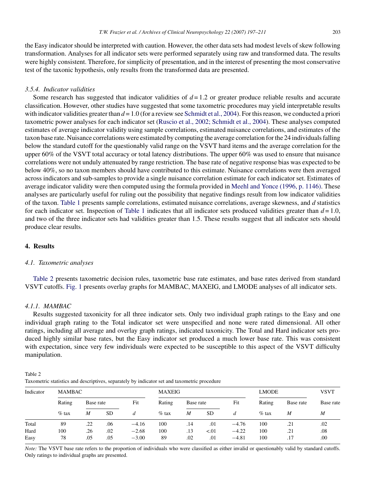<span id="page-6-0"></span>the Easy indicator should be interpreted with caution. However, the other data sets had modest levels of skew following transformation. Analyses for all indicator sets were performed separately using raw and transformed data. The results were highly consistent. Therefore, for simplicity of presentation, and in the interest of presenting the most conservative test of the taxonic hypothesis, only results from the transformed data are presented.

## *3.5.4. Indicator validities*

Some research has suggested that indicator validities of  $d = 1.2$  or greater produce reliable results and accurate classification. However, other studies have suggested that some taxometric procedures may yield interpretable results with indicator validities greater than  $d = 1.0$  (for a review see [Schmidt et al., 2004\).](#page-13-0) For this reason, we conducted a priori taxometric power analyses for each indicator set [\(Ruscio et al., 2002; Schmidt et al., 2004\).](#page-13-0) These analyses computed estimates of average indicator validity using sample correlations, estimated nuisance correlations, and estimates of the taxon base rate. Nuisance correlations were estimated by computing the average correlation for the 24 individuals falling below the standard cutoff for the questionably valid range on the VSVT hard items and the average correlation for the upper 60% of the VSVT total accuracy or total latency distributions. The upper 60% was used to ensure that nuisance correlations were not unduly attenuated by range restriction. The base rate of negative response bias was expected to be below 40%, so no taxon members should have contributed to this estimate. Nuisance correlations were then averaged across indicators and sub-samples to provide a single nuisance correlation estimate for each indicator set. Estimates of average indicator validity were then computed using the formula provided in [Meehl and Yonce \(1996, p. 1146\). T](#page-13-0)hese analyses are particularly useful for ruling out the possibility that negative findings result from low indicator validities of the taxon. [Table 1](#page-5-0) presents sample correlations, estimated nuisance correlations, average skewness, and *d* statistics for each indicator set. Inspection of [Table 1](#page-5-0) indicates that all indicator sets produced validities greater than  $d = 1.0$ , and two of the three indicator sets had validities greater than 1.5. These results suggest that all indicator sets should produce clear results.

# **4. Results**

## *4.1. Taxometric analyses*

Table 2 presents taxometric decision rules, taxometric base rate estimates, and base rates derived from standard VSVT cutoffs. [Fig. 1](#page-7-0) presents overlay graphs for MAMBAC, MAXEIG, and LMODE analyses of all indicator sets.

# *4.1.1. MAMBAC*

Results suggested taxonicity for all three indicator sets. Only two individual graph ratings to the Easy and one individual graph rating to the Total indicator set were unspecified and none were rated dimensional. All other ratings, including all average and overlay graph ratings, indicated taxonicity. The Total and Hard indicator sets produced highly similar base rates, but the Easy indicator set produced a much lower base rate. This was consistent with expectation, since very few individuals were expected to be susceptible to this aspect of the VSVT difficulty manipulation.

| Taxonietric statistics and descriptives, separately by indicator set and taxonietric procedure |                   |           |           |               |         |           |              |         |             |           |           |
|------------------------------------------------------------------------------------------------|-------------------|-----------|-----------|---------------|---------|-----------|--------------|---------|-------------|-----------|-----------|
| Indicator                                                                                      | MAMBAC            |           |           | <b>MAXEIG</b> |         |           | <b>LMODE</b> |         | <b>VSVT</b> |           |           |
|                                                                                                | Rating<br>$%$ tax | Base rate |           | Fit           | Rating  | Base rate |              | Fit     | Rating      | Base rate | Base rate |
|                                                                                                |                   | M         | <b>SD</b> |               | $%$ tax | M         | <b>SD</b>    | d       | $\%$ tax    | M         | M         |
| Total                                                                                          | 89                | .22       | .06       | $-4.16$       | 100     | .14       | .01          | $-4.76$ | 100         | .21       | .02       |
| Hard                                                                                           | 100               | .26       | .02       | $-2.68$       | 100     | $.13\,$   | < 01         | $-4.22$ | 100         | .21       | .08       |
| Easy                                                                                           | 78                | .05       | .05       | $-3.00$       | 89      | .02       | .01          | $-4.81$ | 100         | .17       | .00       |

Table 2 Taxometric statistics and descriptives, separately by indicator set and taxometric procedure

*Note:* The VSVT base rate refers to the proportion of individuals who were classified as either invalid or questionably valid by standard cutoffs. Only ratings to individual graphs are presented.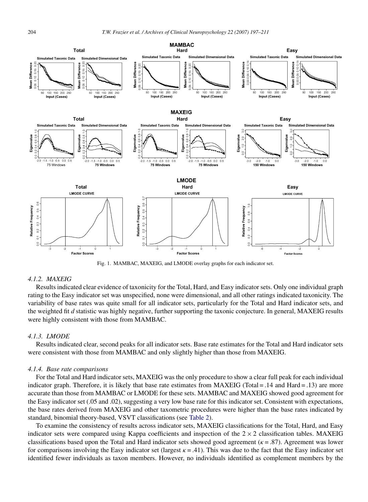<span id="page-7-0"></span>

Fig. 1. MAMBAC, MAXEIG, and LMODE overlay graphs for each indicator set.

#### *4.1.2. MAXEIG*

Results indicated clear evidence of taxonicity for the Total, Hard, and Easy indicator sets. Only one individual graph rating to the Easy indicator set was unspecified, none were dimensional, and all other ratings indicated taxonicity. The variability of base rates was quite small for all indicator sets, particularly for the Total and Hard indicator sets, and the weighted fit *d* statistic was highly negative, further supporting the taxonic conjecture. In general, MAXEIG results were highly consistent with those from MAMBAC.

### *4.1.3. LMODE*

Results indicated clear, second peaks for all indicator sets. Base rate estimates for the Total and Hard indicator sets were consistent with those from MAMBAC and only slightly higher than those from MAXEIG.

## *4.1.4. Base rate comparisons*

For the Total and Hard indicator sets, MAXEIG was the only procedure to show a clear full peak for each individual indicator graph. Therefore, it is likely that base rate estimates from MAXEIG (Total = .14 and Hard = .13) are more accurate than those from MAMBAC or LMODE for these sets. MAMBAC and MAXEIG showed good agreement for the Easy indicator set (.05 and .02), suggesting a very low base rate for this indicator set. Consistent with expectations, the base rates derived from MAXEIG and other taxometric procedures were higher than the base rates indicated by standard, binomial theory-based, VSVT classifications (see [Table 2\).](#page-6-0)

To examine the consistency of results across indicator sets, MAXEIG classifications for the Total, Hard, and Easy indicator sets were compared using Kappa coefficients and inspection of the  $2 \times 2$  classification tables. MAXEIG classifications based upon the Total and Hard indicator sets showed good agreement ( $\kappa = .87$ ). Agreement was lower for comparisons involving the Easy indicator set (largest  $\kappa = .41$ ). This was due to the fact that the Easy indicator set identified fewer individuals as taxon members. However, no individuals identified as complement members by the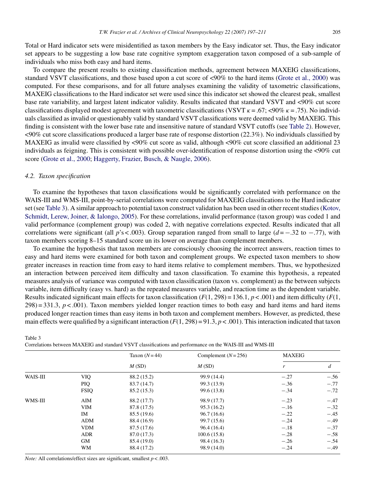Total or Hard indicator sets were misidentified as taxon members by the Easy indicator set. Thus, the Easy indicator set appears to be suggesting a low base rate cognitive symptom exaggeration taxon composed of a sub-sample of individuals who miss both easy and hard items.

To compare the present results to existing classification methods, agreement between MAXEIG classifications, standard VSVT classifications, and those based upon a cut score of <90% to the hard items [\(Grote et al., 2000\)](#page-12-0) was computed. For these comparisons, and for all future analyses examining the validity of taxometric classifications, MAXEIG classifications to the Hard indicator set were used since this indicator set showed the clearest peak, smallest base rate variability, and largest latent indicator validity. Results indicated that standard VSVT and <90% cut score classifications displayed modest agreement with taxometric classifications (VSVT  $\kappa = .67$ ; <90%  $\kappa = .75$ ). No individuals classified as invalid or questionably valid by standard VSVT classifications were deemed valid by MAXEIG. This finding is consistent with the lower base rate and insensitive nature of standard VSVT cutoffs (see [Table 2\).](#page-6-0) However, <90% cut score classifications produced a larger base rate of response distortion (22.3%). No individuals classified by MAXEIG as invalid were classified by <90% cut score as valid, although <90% cut score classified an additional 23 individuals as feigning. This is consistent with possible over-identification of response distortion using the <90% cut score ([Grote et al., 2000;](#page-12-0) [Haggerty, Frazier, Busch, & Naugle, 2006\).](#page-12-0)

#### *4.2. Taxon specification*

To examine the hypotheses that taxon classifications would be significantly correlated with performance on the WAIS-III and WMS-III, point-by-serial correlations were computed for MAXEIG classifications to the Hard indicator set (see Table 3). A similar approach to potential taxon construct validation has been used in other recent studies ([Kotov,](#page-13-0) [Schmidt, Lerew, Joiner, & Ialongo, 2005\).](#page-13-0) For these correlations, invalid performance (taxon group) was coded 1 and valid performance (complement group) was coded 2, with negative correlations expected. Results indicated that all correlations were significant (all *p*'s < .003). Group separation ranged from small to large (*d* = −.32 to −.77), with taxon members scoring 8–15 standard score un its lower on average than complement members.

To examine the hypothesis that taxon members are consciously choosing the incorrect answers, reaction times to easy and hard items were examined for both taxon and complement groups. We expected taxon members to show greater increases in reaction time from easy to hard items relative to complement members. Thus, we hypothesized an interaction between perceived item difficulty and taxon classification. To examine this hypothesis, a repeated measures analysis of variance was computed with taxon classification (taxon vs. complement) as the between subjects variable, item difficulty (easy vs. hard) as the repeated measures variable, and reaction time as the dependent variable. Results indicated significant main effects for taxon classification  $(F(1, 298) = 136.1, p < .001)$  and item difficulty  $(F(1, 298))$  $298$ ) = 331.3,  $p < .001$ ). Taxon members yielded longer reaction times to both easy and hard items and hard items produced longer reaction times than easy items in both taxon and complement members. However, as predicted, these main effects were qualified by a significant interaction  $(F(1, 298) = 91.3, p < .001)$ . This interaction indicated that taxon

| Table 3                                                                                                   |  |  |
|-----------------------------------------------------------------------------------------------------------|--|--|
| Correlations between MAXEIG and standard VSVT classifications and performance on the WAIS-III and WMS-III |  |  |

|          |             | Taxon $(N=44)$ | Complement $(N = 256)$ | <b>MAXEIG</b> |        |
|----------|-------------|----------------|------------------------|---------------|--------|
|          |             | M(SD)          | M(SD)                  | r             | d      |
| WAIS-III | <b>VIQ</b>  | 88.2 (15.2)    | 99.9 (14.4)            | $-.27$        | $-.56$ |
|          | PIQ.        | 83.7 (14.7)    | 99.3 (13.9)            | $-.36$        | $-.77$ |
|          | <b>FSIO</b> | 85.2 (15.3)    | 99.6 (13.8)            | $-.34$        | $-.72$ |
| WMS-III  | AIM         | 88.2 (17.7)    | 98.9 (17.7)            | $-.23$        | $-.47$ |
|          | <b>VIM</b>  | 87.8 (17.5)    | 95.3(16.2)             | $-.16$        | $-.32$ |
|          | IM          | 85.5 (19.6)    | 96.7(16.6)             | $-.22$        | $-.45$ |
|          | ADM         | 88.4 (16.9)    | 99.7 (15.6)            | $-.24$        | $-.49$ |
|          | <b>VDM</b>  | 87.5 (17.6)    | 96.4(16.4)             | $-.18$        | $-.37$ |
|          | <b>ADR</b>  | 87.0 (17.3)    | 100.6(15.8)            | $-.28$        | $-.58$ |
|          | <b>GM</b>   | 85.4 (19.0)    | 98.4 (16.3)            | $-.26$        | $-.54$ |
|          | WM          | 88.4 (17.2)    | 98.9 (14.0)            | $-.24$        | $-.49$ |

*Note:* All correlations/effect sizes are significant, smallest  $p < .003$ .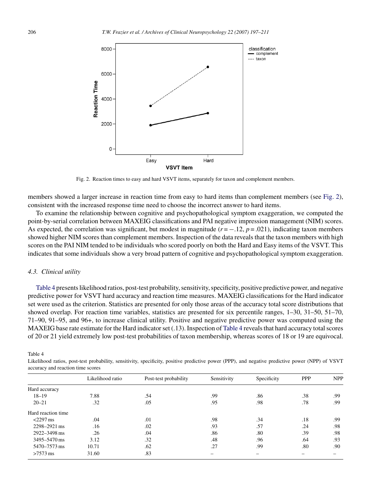<span id="page-9-0"></span>

Fig. 2. Reaction times to easy and hard VSVT items, separately for taxon and complement members.

members showed a larger increase in reaction time from easy to hard items than complement members (see Fig. 2), consistent with the increased response time need to choose the incorrect answer to hard items.

To examine the relationship between cognitive and psychopathological symptom exaggeration, we computed the point-by-serial correlation between MAXEIG classifications and PAI negative impression management (NIM) scores. As expected, the correlation was significant, but modest in magnitude  $(r = -12, p = .021)$ , indicating taxon members showed higher NIM scores than complement members. Inspection of the data reveals that the taxon members with high scores on the PAI NIM tended to be individuals who scored poorly on both the Hard and Easy items of the VSVT. This indicates that some individuals show a very broad pattern of cognitive and psychopathological symptom exaggeration.

## *4.3. Clinical utility*

Table 4 presents likelihood ratios, post-test probability, sensitivity, specificity, positive predictive power, and negative predictive power for VSVT hard accuracy and reaction time measures. MAXEIG classifications for the Hard indicator set were used as the criterion. Statistics are presented for only those areas of the accuracy total score distributions that showed overlap. For reaction time variables, statistics are presented for six percentile ranges, 1–30, 31–50, 51–70, 71–90, 91–95, and 96+, to increase clinical utility. Positive and negative predictive power was computed using the MAXEIG base rate estimate for the Hard indicator set (.13). Inspection of Table 4 reveals that hard accuracy total scores of 20 or 21 yield extremely low post-test probabilities of taxon membership, whereas scores of 18 or 19 are equivocal.

Table 4

Likelihood ratios, post-test probability, sensitivity, specificity, positive predictive power (PPP), and negative predictive power (NPP) of VSVT accuracy and reaction time scores

|                    | Likelihood ratio | Post-test probability | Sensitivity | Specificity              | <b>PPP</b> | <b>NPP</b> |
|--------------------|------------------|-----------------------|-------------|--------------------------|------------|------------|
| Hard accuracy      |                  |                       |             |                          |            |            |
| $18 - 19$          | 7.88             | .54                   | .99         | .86                      | .38        | .99        |
| $20 - 21$          | .32              | .05                   | .95         | .98                      | .78        | .99        |
| Hard reaction time |                  |                       |             |                          |            |            |
| $<$ 2297 ms        | .04              | .01                   | .98         | .34                      | .18        | .99        |
| 2298-2921 ms       | .16              | .02                   | .93         | .57                      | .24        | .98        |
| 2922-3498 ms       | .26              | .04                   | .86         | .80                      | .39        | .98        |
| 3495–5470 ms       | 3.12             | .32                   | .48         | .96                      | .64        | .93        |
| 5470-7573 ms       | 10.71            | .62                   | .27         | .99                      | .80        | .90        |
| $>7573$ ms         | 31.60            | .83                   |             | $\overline{\phantom{a}}$ |            |            |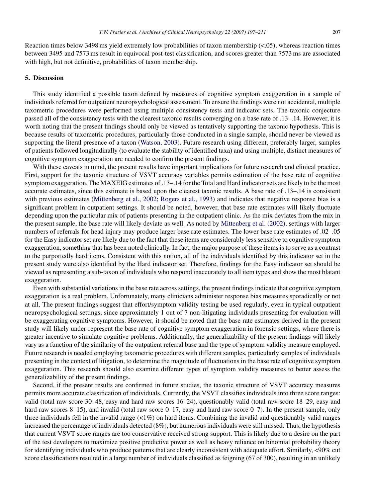Reaction times below 3498 ms yield extremely low probabilities of taxon membership  $(<.05$ ), whereas reaction times between 3495 and 7573 ms result in equivocal post-test classification, and scores greater than 7573 ms are associated with high, but not definitive, probabilities of taxon membership.

# **5. Discussion**

This study identified a possible taxon defined by measures of cognitive symptom exaggeration in a sample of individuals referred for outpatient neuropsychological assessment. To ensure the findings were not accidental, multiple taxometric procedures were performed using multiple consistency tests and indicator sets. The taxonic conjecture passed all of the consistency tests with the clearest taxonic results converging on a base rate of .13–.14. However, it is worth noting that the present findings should only be viewed as tentatively supporting the taxonic hypothesis. This is because results of taxometric procedures, particularly those conducted in a single sample, should never be viewed as supporting the literal presence of a taxon ([Watson, 2003\).](#page-14-0) Future research using different, preferably larger, samples of patients followed longitudinally (to evaluate the stability of identified taxa) and using multiple, distinct measures of cognitive symptom exaggeration are needed to confirm the present findings.

With these caveats in mind, the present results have important implications for future research and clinical practice. First, support for the taxonic structure of VSVT accuracy variables permits estimation of the base rate of cognitive symptom exaggeration. The MAXEIG estimates of .13–.14 for the Total and Hard indicator sets are likely to be the most accurate estimates, since this estimate is based upon the clearest taxonic results. A base rate of .13–.14 is consistent with previous estimates ([Mittenberg et al., 2002; Rogers et al., 1993\)](#page-13-0) and indicates that negative response bias is a significant problem in outpatient settings. It should be noted, however, that base rate estimates will likely fluctuate depending upon the particular mix of patients presenting in the outpatient clinic. As the mix deviates from the mix in the present sample, the base rate will likely deviate as well. As noted by [Mittenberg et al. \(2002\), s](#page-13-0)ettings with larger numbers of referrals for head injury may produce larger base rate estimates. The lower base rate estimates of .02–.05 for the Easy indicator set are likely due to the fact that these items are considerably less sensitive to cognitive symptom exaggeration, something that has been noted clinically. In fact, the major purpose of these items is to serve as a contrast to the purportedly hard items. Consistent with this notion, all of the individuals identified by this indicator set in the present study were also identified by the Hard indicator set. Therefore, findings for the Easy indicator set should be viewed as representing a sub-taxon of individuals who respond inaccurately to all item types and show the most blatant exaggeration.

Even with substantial variations in the base rate across settings, the present findings indicate that cognitive symptom exaggeration is a real problem. Unfortunately, many clinicians administer response bias measures sporadically or not at all. The present findings suggest that effort/symptom validity testing be used regularly, even in typical outpatient neuropsychological settings, since approximately 1 out of 7 non-litigating individuals presenting for evaluation will be exaggerating cognitive symptoms. However, it should be noted that the base rate estimates derived in the present study will likely under-represent the base rate of cognitive symptom exaggeration in forensic settings, where there is greater incentive to simulate cognitive problems. Additionally, the generalizability of the present findings will likely vary as a function of the similarity of the outpatient referral base and the type of symptom validity measure employed. Future research is needed employing taxometric procedures with different samples, particularly samples of individuals presenting in the context of litigation, to determine the magnitude of fluctuations in the base rate of cognitive symptom exaggeration. This research should also examine different types of symptom validity measures to better assess the generalizability of the present findings.

Second, if the present results are confirmed in future studies, the taxonic structure of VSVT accuracy measures permits more accurate classification of individuals. Currently, the VSVT classifies individuals into three score ranges: valid (total raw score 30–48, easy and hard raw scores 16–24), questionably valid (total raw score 18–29, easy and hard raw scores 8–15), and invalid (total raw score 0–17, easy and hard raw score 0–7). In the present sample, only three individuals fell in the invalid range  $\langle 1\% \rangle$  on hard items. Combining the invalid and questionably valid ranges increased the percentage of individuals detected (8%), but numerous individuals were still missed. Thus, the hypothesis that current VSVT score ranges are too conservative received strong support. This is likely due to a desire on the part of the test developers to maximize positive predictive power as well as heavy reliance on binomial probability theory for identifying individuals who produce patterns that are clearly inconsistent with adequate effort. Similarly, <90% cut score classifications resulted in a large number of individuals classified as feigning (67 of 300), resulting in an unlikely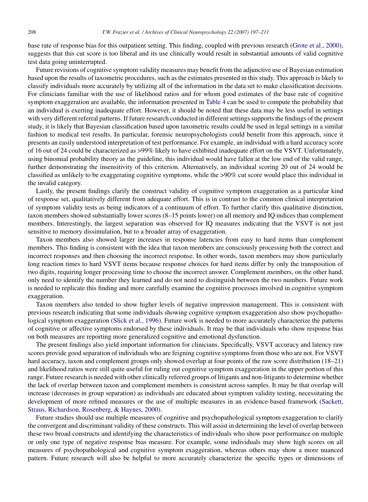base rate of response bias for this outpatient setting. This finding, coupled with previous research [\(Grote et al., 2000\),](#page-12-0) suggests that this cut score is too liberal and its use clinically would result in substantial amounts of valid cognitive test data going uninterrupted.

Future revisions of cognitive symptom validity measures may benefit from the adjunctive use of Bayesian estimation based upon the results of taxometric procedures, such as the estimates presented in this study. This approach is likely to classify individuals more accurately by utilizing all of the information in the data set to make classification decisions. For clinicians familiar with the use of likelihood ratios and for whom good estimates of the base rate of cognitive symptom exaggeration are available, the information presented in [Table 4](#page-9-0) can be used to compute the probability that an individual is exerting inadequate effort. However, it should be noted that these data may be less useful in settings with very different referral patterns. If future research conducted in different settings supports the findings of the present study, it is likely that Bayesian classification based upon taxometric results could be used in legal settings in a similar fashion to medical test results. In particular, forensic neuropsychologists could benefit from this approach, since it presents an easily understood interpretation of test performance. For example, an individual with a hard accuracy score of 16 out of 24 could be characterized as >99% likely to have exhibited inadequate effort on the VSVT. Unfortunately, using binomial probability theory as the guideline, this individual would have fallen at the low end of the valid range, further demonstrating the insensitivity of this criterion. Alternatively, an individual scoring 20 out of 24 would be classified as unlikely to be exaggerating cognitive symptoms, while the >90% cut score would place this individual in the invalid category.

Lastly, the present findings clarify the construct validity of cognitive symptom exaggeration as a particular kind of response set, qualitatively different from adequate effort. This is in contrast to the common clinical interpretation of symptom validity tests as being indicators of a continuum of effort. To further clarify this qualitative distinction, taxon members showed substantially lower scores (8–15 points lower) on all memory and IQ indices than complement members. Interestingly, the largest separation was observed for IQ measures indicating that the VSVT is not just sensitive to memory dissimulation, but to a broader array of exaggeration.

Taxon members also showed larger increases in response latencies from easy to hard items than complement members. This finding is consistent with the idea that taxon members are consciously processing both the correct and incorrect responses and then choosing the incorrect response. In other words, taxon members may show particularly long reaction times to hard VSVT items because response choices for hard items differ by only the transposition of two digits, requiring longer processing time to choose the incorrect answer. Complement members, on the other hand, only need to identify the number they learned and do not need to distinguish between the two numbers. Future work is needed to replicate this finding and more carefully examine the cognitive processes involved in cognitive symptom exaggeration.

Taxon members also tended to show higher levels of negative impression management. This is consistent with previous research indicating that some individuals showing cognitive symptom exaggeration also show psychopathological symptom exaggeration ([Slick et al., 1996\).](#page-13-0) Future work is needed to more accurately characterize the patterns of cognitive or affective symptoms endorsed by these individuals. It may be that individuals who show response bias on both measures are reporting more generalized cognitive and emotional dysfunction.

The present findings also yield important information for clinicians. Specifically, VSVT accuracy and latency raw scores provide good separation of individuals who are feigning cognitive symptoms from those who are not. For VSVT hard accuracy, taxon and complement groups only showed overlap at four points of the raw score distribution (18–21) and likelihood ratios were still quite useful for ruling out cognitive symptom exaggeration in the upper portion of this range. Future research is needed with other clinically referred groups of litigants and non-litigants to determine whether the lack of overlap between taxon and complement members is consistent across samples. It may be that overlap will increase (decreases in group separation) as individuals are educated about symptom validity testing, necessitating the development of more refined measures or the use of multiple measures in an evidence-based framework ([Sackett,](#page-13-0) [Straus, Richardson, Rosenberg, & Haynes, 2000\).](#page-13-0)

Future studies should use multiple measures of cognitive and psychopathological symptom exaggeration to clarify the convergent and discriminant validity of these constructs. This will assist in determining the level of overlap between these two broad constructs and identifying the characteristics of individuals who show poor performance on multiple or only one type of negative response bias measure. For example, some individuals may show high scores on all measures of psychopathological and cognitive symptom exaggeration, whereas others may show a more nuanced pattern. Future research will also be helpful to more accurately characterize the specific types or dimensions of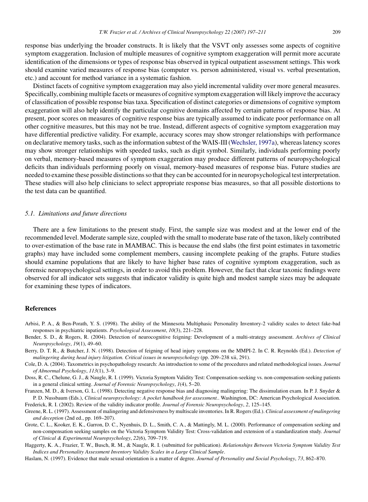<span id="page-12-0"></span>response bias underlying the broader constructs. It is likely that the VSVT only assesses some aspects of cognitive symptom exaggeration. Inclusion of multiple measures of cognitive symptom exaggeration will permit more accurate identification of the dimensions or types of response bias observed in typical outpatient assessment settings. This work should examine varied measures of response bias (computer vs. person administered, visual vs. verbal presentation, etc.) and account for method variance in a systematic fashion.

Distinct facets of cognitive symptom exaggeration may also yield incremental validity over more general measures. Specifically, combining multiple facets or measures of cognitive symptom exaggeration will likely improve the accuracy of classification of possible response bias taxa. Specification of distinct categories or dimensions of cognitive symptom exaggeration will also help identify the particular cognitive domains affected by certain patterns of response bias. At present, poor scores on measures of cognitive response bias are typically assumed to indicate poor performance on all other cognitive measures, but this may not be true. Instead, different aspects of cognitive symptom exaggeration may have differential predictive validity. For example, accuracy scores may show stronger relationships with performance on declarative memory tasks, such as the information subtest of the WAIS-III [\(Wechsler, 1997a\),](#page-14-0) whereas latency scores may show stronger relationships with speeded tasks, such as digit symbol. Similarly, individuals performing poorly on verbal, memory-based measures of symptom exaggeration may produce different patterns of neuropsychological deficits than individuals performing poorly on visual, memory-based measures of response bias. Future studies are needed to examine these possible distinctions so that they can be accounted for in neuropsychological test interpretation. These studies will also help clinicians to select appropriate response bias measures, so that all possible distortions to the test data can be quantified.

### *5.1. Limitations and future directions*

There are a few limitations to the present study. First, the sample size was modest and at the lower end of the recommended level. Moderate sample size, coupled with the small to moderate base rate of the taxon, likely contributed to over-estimation of the base rate in MAMBAC. This is because the end slabs (the first point estimates in taxometric graphs) may have included some complement members, causing incomplete peaking of the graphs. Future studies should examine populations that are likely to have higher base rates of cognitive symptom exaggeration, such as forensic neuropsychological settings, in order to avoid this problem. However, the fact that clear taxonic findings were observed for all indicator sets suggests that indicator validity is quite high and modest sample sizes may be adequate for examining these types of indicators.

## **References**

- Arbisi, P. A., & Ben-Porath, Y. S. (1998). The ability of the Minnesota Multiphasic Personality Inventory-2 validity scales to detect fake-bad responses in psychiatric inpatients. *Psychological Assessment*, *10*(3), 221–228.
- Bender, S. D., & Rogers, R. (2004). Detection of neurocognitive feigning: Development of a multi-strategy assessment. *Archives of Clinical Neuropsychology*, *19*(1), 49–60.
- Berry, D. T. R., & Butcher, J. N. (1998). Detection of feigning of head injury symptoms on the MMPI-2. In C. R. Reynolds (Ed.). *Detection of malingering during head injury litigation. Critical issues in neuropsychology* (pp. 209–238 xii, 291).
- Cole, D. A. (2004). Taxometrics in psychopathology research: An introduction to some of the procedures and related methodological issues. *Journal of Abnormal Psychology*, *113*(1), 3–9.
- Doss, R. C., Chelune, G. J., & Naugle, R. I. (1999). Victoria Symptom Validity Test: Compensation-seeking vs. non-compensation-seeking patients in a general clinical setting. *Journal of Forensic Neuropsychology*, *1*(4), 5–20.
- Franzen, M. D., & Iverson, G. L. (1998). Detecting negative response bias and diagnosing malingering: The dissimulation exam. In P. J. Snyder & P. D. Nussbaum (Eds.), *Clinical neuropsychology: A pocket handbook for assessment.*. Washington, DC: American Psychological Association. Frederick, R. I. (2002). Review of the validity indicator profile. *Journal of Forensic Neuropsychology*, *2*, 125–145.
- Greene, R. L. (1997). Assessment of malingering and defensiveness by multiscale inventories. In R. Rogers (Ed.). *Clinical assessment of malingering and deception* (2nd ed., pp. 169–207).
- Grote, C. L., Kooker, E. K., Garron, D. C., Nyenhuis, D. L., Smith, C. A., & Mattingly, M. L. (2000). Performance of compensation seeking and non-compensation seeking samples on the Victoria Symptom Validity Test: Cross-validation and extension of a standardization study. *Journal of Clinical & Experimental Neuropsychology*, *22*(6), 709–719.
- Haggerty, K. A., Frazier, T. W., Busch, R. M., & Naugle, R. I. (submitted for publication). *Relationships Between Victoria Symptom Validity Test Indices and Personality Assessment Inventory Validity Scales in a Large Clinical Sample*.
- Haslam, N. (1997). Evidence that male sexual orientation is a matter of degree. *Journal of Personality and Social Psychology*, *73*, 862–870.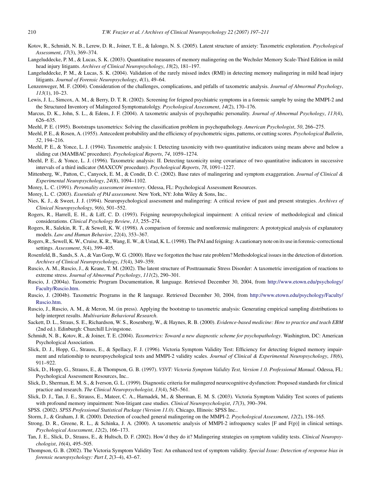- <span id="page-13-0"></span>Kotov, R., Schmidt, N. B., Lerew, D. R., Joiner, T. E., & Ialongo, N. S. (2005). Latent structure of anxiety: Taxometric exploration. *Psychological Assessment*, *17*(3), 369–374.
- Langeluddecke, P. M., & Lucas, S. K. (2003). Quantitative measures of memory malingering on the Wechsler Memory Scale-Third Edition in mild head injury litigants. *Archives of Clinical Neuropsychology*, *18*(2), 181–197.
- Langeluddecke, P. M., & Lucas, S. K. (2004). Validation of the rarely missed index (RMI) in detecting memory malingering in mild head injury litigants. *Journal of Forensic Neuropsychology*, *4*(1), 49–64.
- Lenzenweger, M. F. (2004). Consideration of the challenges, complications, and pitfalls of taxometric analysis. *Journal of Abnormal Psychology*, *113*(1), 10–23.
- Lewis, J. L., Simcox, A. M., & Berry, D. T. R. (2002). Screening for feigned psychiatric symptoms in a forensic sample by using the MMPI-2 and the Structured Inventory of Malingered Symptomatololgy. *Psychological Assessment*, *14*(2), 170–176.
- Marcus, D. K., John, S. L., & Edens, J. F. (2004). A taxometric analysis of psychopathic personality. *Journal of Abnormal Psychology*, *113*(4), 626–635.
- Meehl, P. E. (1995). Bootstraps taxometrics: Solving the classification problem in psychopathology. *American Psychologist*, *50*, 266–275.
- Meehl, P. E., & Rosen, A. (1955). Antecedent probability and the efficiency of psychometric signs, patterns, or cutting scores. *Psychological Bulletin*, *52*, 194–216.
- Meehl, P. E., & Yonce, L. J. (1994). Taxometric analysis: I. Detecting taxonicity with two quantitative indicators using means above and below a sliding cut (MAMBAC procedure). *Psychological Reports*, *74*, 1059–1274.
- Meehl, P. E., & Yonce, L. J. (1996). Taxometric analysis: II. Detecting taxonicity using covariance of two quantitative indicators in successive intervals of a third indicator (MAXCOV procedure). *Psychological Reports*, *78*, 1091–1227.
- Mittenberg, W., Patton, C., Canyock, E. M., & Condit, D. C. (2002). Base rates of malingering and symptom exaggeration. *Journal of Clinical & Experimental Neuropsychology*, *24*(8), 1094–1102.
- Morey, L. C. (1991). *Personality assessment inventory*. Odessa, FL: Psychological Assessment Resources.
- Morey, L. C. (2003). *Essentials of PAI assessment*. New York, NY: John Wiley & Sons, Inc..
- Nies, K. J., & Sweet, J. J. (1994). Neuropsychological assessment and malingering: A critical review of past and present strategies. *Archives of Clinical Neuropsychology*, *9*(6), 501–552.
- Rogers, R., Harrell, E. H., & Liff, C. D. (1993). Feigning neuropsychological impairment: A critical review of methodological and clinical considerations. *Clinical Psychology Review*, *13*, 255–274.
- Rogers, R., Salekin, R. T., & Sewell, K. W. (1998). A comparison of forensic and nonforensic malingerers: A prototypical analysis of explanatory models. *Law and Human Behavior*, *22*(4), 353–367.
- Rogers, R., Sewell, K. W., Cruise, K. R., Wang, E. W., & Ustad, K. L. (1998). The PAI and feigning: A cautionary note on its use in forensic-correctional settings. *Assessment*, *5*(4), 399–405.
- Rosenfeld, B., Sands, S. A., & Van Gorp, W. G. (2000). Have we forgotten the base rate problem? Methodological issues in the detection of distortion. *Archives of Clinical Neuropsychology*, *15*(4), 349–359.
- Ruscio, A. M., Ruscio, J., & Keane, T. M. (2002). The latent structure of Posttraumatic Stress Disorder: A taxometric investigation of reactions to extreme stress. *Journal of Abnormal Psychology*, *111*(2), 290–301.
- Ruscio, J. (2004a). Taxometric Program Documentation, R language. Retrieved December 30, 2004, from [http://www.etown.edu/psychology/](http://www.etown.edu/psychology/Faculty/Ruscio.htm) [Faculty/Ruscio.htm.](http://www.etown.edu/psychology/Faculty/Ruscio.htm)
- Ruscio, J. (2004b). Taxometric Programs in the R language. Retrieved December 30, 2004, from [http://www.etown.edu/psychology/Faculty/](http://www.etown.edu/psychology/Faculty/Ruscio.htm) [Ruscio.htm.](http://www.etown.edu/psychology/Faculty/Ruscio.htm)
- Ruscio, J., Ruscio, A. M., & Meron, M. (in press). Applying the bootstrap to taxometric analysis: Generating empirical sampling distributions to help interpret results. *Multivariate Behavioral Research*.
- Sackett, D. L., Straus, S. E., Richardson, W. S., Rosenberg, W., & Haynes, R. B. (2000). *Evidence-based medicine: How to practice and teach EBM* (2nd ed.). Edinburgh: Churchill Livingstone.
- Schmidt, N. B., Kotov, R., & Joiner, T. E. (2004). *Taxometrics: Toward a new diagnostic scheme for psychopathology*. Washington, DC: American Psychological Association.
- Slick, D. J., Hopp, G., Strauss, E., & Spellacy, F. J. (1996). Victoria Symptom Validity Test: Efficiency for detecting feigned memory impairment and relationship to neuropsychological tests and MMPI-2 validity scales. *Journal of Clinical & Experimental Neuropsychology*, *18*(6), 911–922.
- Slick, D., Hopp, G., Strauss, E., & Thompson, G. B. (1997). *VSVT: Victoria Symptom Validity Test, Version 1.0. Professional Manual*. Odessa, FL: Psychological Assessment Resources, Inc..
- Slick, D., Sherman, E. M. S., & Iverson, G. L. (1999). Diagnostic criteria for malingered neurocognitive dysfunction: Proposed standards for clinical practice and research. *The Clinical Neuropsychologist*, *13*(4), 545–561.
- Slick, D. J., Tan, J. E., Strauss, E., Mateer, C. A., Harnadek, M., & Sherman, E. M. S. (2003). Victoria Symptom Validity Test scores of patients with profound memory impairment: Non-litigant case studies. *Clinical Neuropsychologist*, *17*(3), 390–394.
- SPSS. (2002). *SPSS Professional Statistical Package (Version 11.0)*. Chicago, Illinois: SPSS Inc..
- Storm, J., & Graham, J. R. (2000). Detection of coached general malingering on the MMPI-2. *Psychological Assessment*, *12*(2), 158–165.
- Strong, D. R., Greene, R. L., & Schinka, J. A. (2000). A taxometric analysis of MMPI-2 infrequency scales [F and F(p)] in clinical settings. *Psychological Assessment*, *12*(2), 166–173.
- Tan, J. E., Slick, D., Strauss, E., & Hultsch, D. F. (2002). How'd they do it? Malingering strategies on symptom validity tests. *Clinical Neuropsychologist*, *16*(4), 495–505.
- Thompson, G. B. (2002). The Victoria Symptom Validity Test: An enhanced test of symptom validity. *Special Issue: Detection of response bias in forensic neuropsychology: Part I*, *2*(3–4), 43–67.